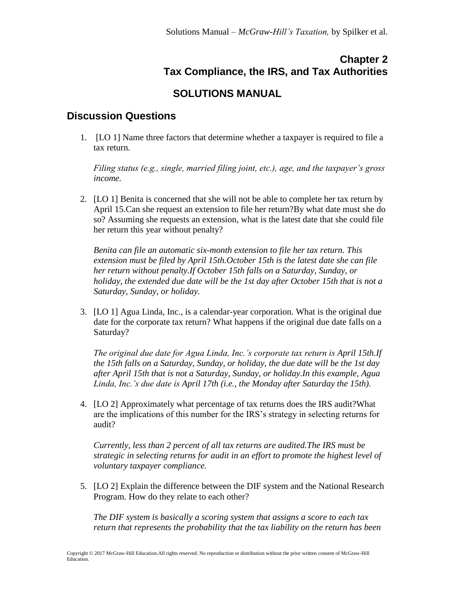## **Chapter 2 Tax Compliance, the IRS, and Tax Authorities**

## **SOLUTIONS MANUAL**

## **Discussion Questions**

1. [LO 1] Name three factors that determine whether a taxpayer is required to file a tax return.

*Filing status (e.g., single, married filing joint, etc.), age, and the taxpayer's gross income.* 

2. [LO 1] Benita is concerned that she will not be able to complete her tax return by April 15.Can she request an extension to file her return?By what date must she do so? Assuming she requests an extension, what is the latest date that she could file her return this year without penalty?

*Benita can file an automatic six-month extension to file her tax return. This extension must be filed by April 15th.October 15th is the latest date she can file her return without penalty.If October 15th falls on a Saturday, Sunday, or holiday, the extended due date will be the 1st day after October 15th that is not a Saturday, Sunday, or holiday.*

3. [LO 1] Agua Linda, Inc., is a calendar-year corporation. What is the original due date for the corporate tax return? What happens if the original due date falls on a Saturday?

*The original due date for Agua Linda, Inc.'s corporate tax return is April 15th.If the 15th falls on a Saturday, Sunday, or holiday, the due date will be the 1st day after April 15th that is not a Saturday, Sunday, or holiday.In this example, Agua Linda, Inc.'s due date is April 17th (i.e., the Monday after Saturday the 15th).*

4. [LO 2] Approximately what percentage of tax returns does the IRS audit?What are the implications of this number for the IRS's strategy in selecting returns for audit?

*Currently, less than 2 percent of all tax returns are audited.The IRS must be strategic in selecting returns for audit in an effort to promote the highest level of voluntary taxpayer compliance.*

5. [LO 2] Explain the difference between the DIF system and the National Research Program. How do they relate to each other?

*The DIF system is basically a scoring system that assigns a score to each tax return that represents the probability that the tax liability on the return has been*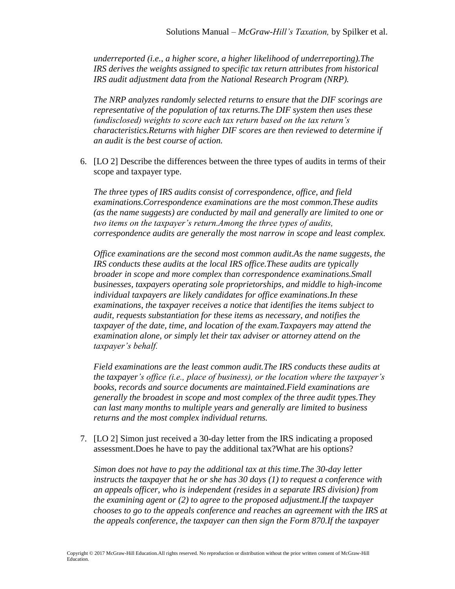*underreported (i.e., a higher score, a higher likelihood of underreporting).The IRS derives the weights assigned to specific tax return attributes from historical IRS audit adjustment data from the National Research Program (NRP).*

*The NRP analyzes randomly selected returns to ensure that the DIF scorings are representative of the population of tax returns.The DIF system then uses these (undisclosed) weights to score each tax return based on the tax return's characteristics.Returns with higher DIF scores are then reviewed to determine if an audit is the best course of action.*

6. [LO 2] Describe the differences between the three types of audits in terms of their scope and taxpayer type.

*The three types of IRS audits consist of correspondence, office, and field examinations.Correspondence examinations are the most common.These audits (as the name suggests) are conducted by mail and generally are limited to one or two items on the taxpayer's return.Among the three types of audits, correspondence audits are generally the most narrow in scope and least complex.*

*Office examinations are the second most common audit.As the name suggests, the IRS conducts these audits at the local IRS office.These audits are typically broader in scope and more complex than correspondence examinations.Small businesses, taxpayers operating sole proprietorships, and middle to high-income individual taxpayers are likely candidates for office examinations.In these examinations, the taxpayer receives a notice that identifies the items subject to audit, requests substantiation for these items as necessary, and notifies the taxpayer of the date, time, and location of the exam.Taxpayers may attend the examination alone, or simply let their tax adviser or attorney attend on the taxpayer's behalf.* 

*Field examinations are the least common audit.The IRS conducts these audits at the taxpayer's office (i.e., place of business), or the location where the taxpayer's books, records and source documents are maintained.Field examinations are generally the broadest in scope and most complex of the three audit types.They can last many months to multiple years and generally are limited to business returns and the most complex individual returns.*

7. [LO 2] Simon just received a 30-day letter from the IRS indicating a proposed assessment.Does he have to pay the additional tax?What are his options?

*Simon does not have to pay the additional tax at this time.The 30-day letter instructs the taxpayer that he or she has 30 days (1) to request a conference with an appeals officer, who is independent (resides in a separate IRS division) from the examining agent or (2) to agree to the proposed adjustment.If the taxpayer chooses to go to the appeals conference and reaches an agreement with the IRS at the appeals conference, the taxpayer can then sign the Form 870.If the taxpayer*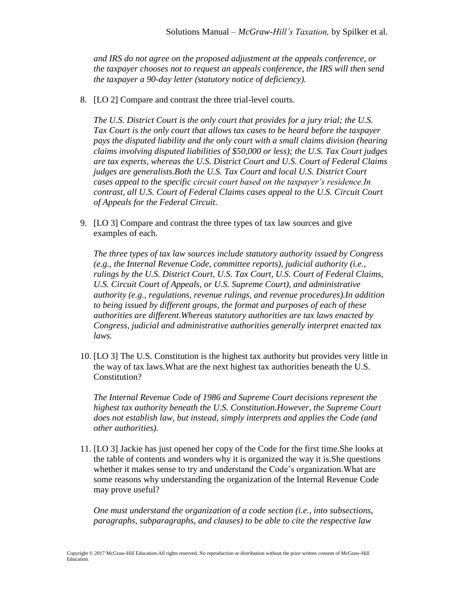*and IRS do not agree on the proposed adjustment at the appeals conference, or the taxpayer chooses not to request an appeals conference, the IRS will then send the taxpayer a 90-day letter (statutory notice of deficiency).*

8. [LO 2] Compare and contrast the three trial-level courts.

*The U.S. District Court is the only court that provides for a jury trial; the U.S. Tax Court is the only court that allows tax cases to be heard before the taxpayer pays the disputed liability and the only court with a small claims division (hearing claims involving disputed liabilities of \$50,000 or less); the U.S. Tax Court judges are tax experts, whereas the U.S. District Court and U.S. Court of Federal Claims judges are generalists.Both the U.S. Tax Court and local U.S. District Court cases appeal to the specific circuit court based on the taxpayer's residence.In contrast, all U.S. Court of Federal Claims cases appeal to the U.S. Circuit Court of Appeals for the Federal Circuit.*

9. [LO 3] Compare and contrast the three types of tax law sources and give examples of each.

*The three types of tax law sources include statutory authority issued by Congress (e.g., the Internal Revenue Code, committee reports), judicial authority (i.e., rulings by the U.S. District Court, U.S. Tax Court, U.S. Court of Federal Claims, U.S. Circuit Court of Appeals, or U.S. Supreme Court), and administrative authority (e.g., regulations, revenue rulings, and revenue procedures).In addition to being issued by different groups, the format and purposes of each of these authorities are different.Whereas statutory authorities are tax laws enacted by Congress, judicial and administrative authorities generally interpret enacted tax laws.*

10. [LO 3] The U.S. Constitution is the highest tax authority but provides very little in the way of tax laws.What are the next highest tax authorities beneath the U.S. Constitution?

*The Internal Revenue Code of 1986 and Supreme Court decisions represent the highest tax authority beneath the U.S. Constitution.However, the Supreme Court does not establish law, but instead, simply interprets and applies the Code (and other authorities).*

11. [LO 3] Jackie has just opened her copy of the Code for the first time.She looks at the table of contents and wonders why it is organized the way it is.She questions whether it makes sense to try and understand the Code's organization.What are some reasons why understanding the organization of the Internal Revenue Code may prove useful?

*One must understand the organization of a code section (i.e., into subsections, paragraphs, subparagraphs, and clauses) to be able to cite the respective law*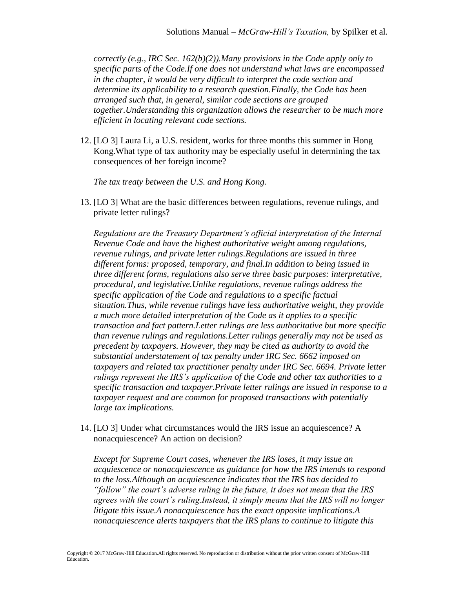*correctly (e.g., IRC Sec. 162(b)(2)).Many provisions in the Code apply only to specific parts of the Code.If one does not understand what laws are encompassed in the chapter, it would be very difficult to interpret the code section and determine its applicability to a research question.Finally, the Code has been arranged such that, in general, similar code sections are grouped together.Understanding this organization allows the researcher to be much more efficient in locating relevant code sections.*

12. [LO 3] Laura Li, a U.S. resident, works for three months this summer in Hong Kong.What type of tax authority may be especially useful in determining the tax consequences of her foreign income?

*The tax treaty between the U.S. and Hong Kong.*

13. [LO 3] What are the basic differences between regulations, revenue rulings, and private letter rulings?

*Regulations are the Treasury Department's official interpretation of the Internal Revenue Code and have the highest authoritative weight among regulations, revenue rulings, and private letter rulings.Regulations are issued in three different forms: proposed, temporary, and final.In addition to being issued in three different forms, regulations also serve three basic purposes: interpretative, procedural, and legislative.Unlike regulations, revenue rulings address the specific application of the Code and regulations to a specific factual situation.Thus, while revenue rulings have less authoritative weight, they provide a much more detailed interpretation of the Code as it applies to a specific transaction and fact pattern.Letter rulings are less authoritative but more specific than revenue rulings and regulations.Letter rulings generally may not be used as precedent by taxpayers. However, they may be cited as authority to avoid the substantial understatement of tax penalty under IRC Sec. 6662 imposed on taxpayers and related tax practitioner penalty under IRC Sec. 6694. Private letter rulings represent the IRS's application of the Code and other tax authorities to a specific transaction and taxpayer.Private letter rulings are issued in response to a taxpayer request and are common for proposed transactions with potentially large tax implications.*

14. [LO 3] Under what circumstances would the IRS issue an acquiescence? A nonacquiescence? An action on decision?

*Except for Supreme Court cases, whenever the IRS loses, it may issue an acquiescence or nonacquiescence as guidance for how the IRS intends to respond to the loss.Although an acquiescence indicates that the IRS has decided to "follow" the court's adverse ruling in the future, it does not mean that the IRS agrees with the court's ruling.Instead, it simply means that the IRS will no longer litigate this issue.A nonacquiescence has the exact opposite implications.A nonacquiescence alerts taxpayers that the IRS plans to continue to litigate this*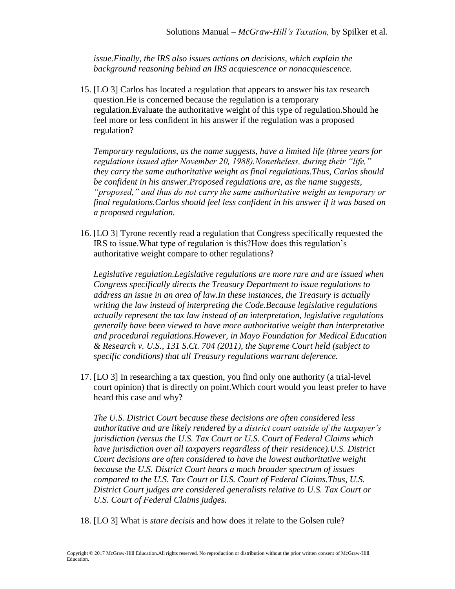*issue.Finally, the IRS also issues actions on decisions, which explain the background reasoning behind an IRS acquiescence or nonacquiescence.*

15. [LO 3] Carlos has located a regulation that appears to answer his tax research question.He is concerned because the regulation is a temporary regulation.Evaluate the authoritative weight of this type of regulation.Should he feel more or less confident in his answer if the regulation was a proposed regulation?

*Temporary regulations, as the name suggests, have a limited life (three years for regulations issued after November 20, 1988).Nonetheless, during their "life," they carry the same authoritative weight as final regulations.Thus, Carlos should be confident in his answer.Proposed regulations are, as the name suggests, "proposed," and thus do not carry the same authoritative weight as temporary or final regulations.Carlos should feel less confident in his answer if it was based on a proposed regulation.*

16. [LO 3] Tyrone recently read a regulation that Congress specifically requested the IRS to issue.What type of regulation is this?How does this regulation's authoritative weight compare to other regulations?

*Legislative regulation.Legislative regulations are more rare and are issued when Congress specifically directs the Treasury Department to issue regulations to address an issue in an area of law.In these instances, the Treasury is actually writing the law instead of interpreting the Code.Because legislative regulations actually represent the tax law instead of an interpretation, legislative regulations generally have been viewed to have more authoritative weight than interpretative and procedural regulations.However, in Mayo Foundation for Medical Education & Research v. U.S., 131 S.Ct. 704 (2011), the Supreme Court held (subject to specific conditions) that all Treasury regulations warrant deference.*

17. [LO 3] In researching a tax question, you find only one authority (a trial-level court opinion) that is directly on point.Which court would you least prefer to have heard this case and why?

*The U.S. District Court because these decisions are often considered less authoritative and are likely rendered by a district court outside of the taxpayer's jurisdiction (versus the U.S. Tax Court or U.S. Court of Federal Claims which have jurisdiction over all taxpayers regardless of their residence).U.S. District Court decisions are often considered to have the lowest authoritative weight because the U.S. District Court hears a much broader spectrum of issues compared to the U.S. Tax Court or U.S. Court of Federal Claims.Thus, U.S. District Court judges are considered generalists relative to U.S. Tax Court or U.S. Court of Federal Claims judges.*

18. [LO 3] What is *stare decisis* and how does it relate to the Golsen rule?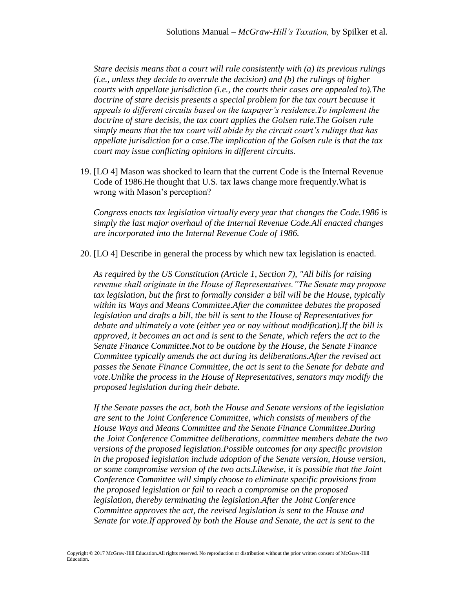*Stare decisis means that a court will rule consistently with (a) its previous rulings (i.e., unless they decide to overrule the decision) and (b) the rulings of higher courts with appellate jurisdiction (i.e., the courts their cases are appealed to).The doctrine of stare decisis presents a special problem for the tax court because it appeals to different circuits based on the taxpayer's residence.To implement the doctrine of stare decisis, the tax court applies the Golsen rule.The Golsen rule simply means that the tax court will abide by the circuit court's rulings that has appellate jurisdiction for a case.The implication of the Golsen rule is that the tax court may issue conflicting opinions in different circuits.*

19. [LO 4] Mason was shocked to learn that the current Code is the Internal Revenue Code of 1986.He thought that U.S. tax laws change more frequently.What is wrong with Mason's perception?

*Congress enacts tax legislation virtually every year that changes the Code.1986 is simply the last major overhaul of the Internal Revenue Code.All enacted changes are incorporated into the Internal Revenue Code of 1986.*

20. [LO 4] Describe in general the process by which new tax legislation is enacted.

*As required by the US Constitution (Article 1, Section 7), "All bills for raising revenue shall originate in the House of Representatives."The Senate may propose tax legislation, but the first to formally consider a bill will be the House, typically within its Ways and Means Committee.After the committee debates the proposed legislation and drafts a bill, the bill is sent to the House of Representatives for debate and ultimately a vote (either yea or nay without modification).If the bill is approved, it becomes an act and is sent to the Senate, which refers the act to the Senate Finance Committee.Not to be outdone by the House, the Senate Finance Committee typically amends the act during its deliberations.After the revised act passes the Senate Finance Committee, the act is sent to the Senate for debate and vote.Unlike the process in the House of Representatives, senators may modify the proposed legislation during their debate.*

*If the Senate passes the act, both the House and Senate versions of the legislation are sent to the Joint Conference Committee, which consists of members of the House Ways and Means Committee and the Senate Finance Committee.During the Joint Conference Committee deliberations, committee members debate the two versions of the proposed legislation.Possible outcomes for any specific provision in the proposed legislation include adoption of the Senate version, House version, or some compromise version of the two acts.Likewise, it is possible that the Joint Conference Committee will simply choose to eliminate specific provisions from the proposed legislation or fail to reach a compromise on the proposed legislation, thereby terminating the legislation.After the Joint Conference Committee approves the act, the revised legislation is sent to the House and Senate for vote.If approved by both the House and Senate, the act is sent to the*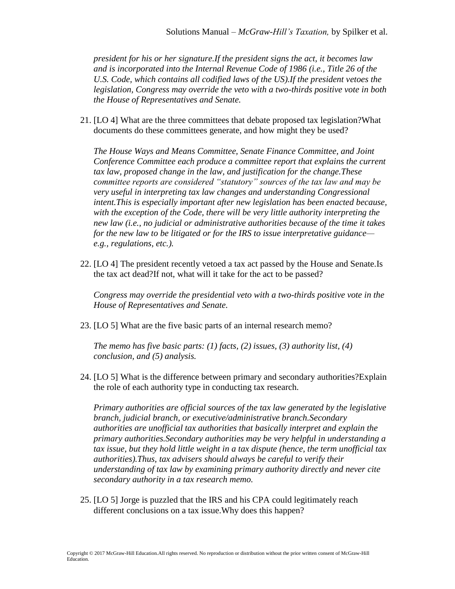*president for his or her signature.If the president signs the act, it becomes law and is incorporated into the Internal Revenue Code of 1986 (i.e., Title 26 of the U.S. Code, which contains all codified laws of the US).If the president vetoes the legislation, Congress may override the veto with a two-thirds positive vote in both the House of Representatives and Senate.*

21. [LO 4] What are the three committees that debate proposed tax legislation?What documents do these committees generate, and how might they be used?

*The House Ways and Means Committee, Senate Finance Committee, and Joint Conference Committee each produce a committee report that explains the current tax law, proposed change in the law, and justification for the change.These committee reports are considered "statutory" sources of the tax law and may be very useful in interpreting tax law changes and understanding Congressional intent.This is especially important after new legislation has been enacted because, with the exception of the Code, there will be very little authority interpreting the new law (i.e., no judicial or administrative authorities because of the time it takes for the new law to be litigated or for the IRS to issue interpretative guidance e.g., regulations, etc.).*

22. [LO 4] The president recently vetoed a tax act passed by the House and Senate.Is the tax act dead?If not, what will it take for the act to be passed?

*Congress may override the presidential veto with a two-thirds positive vote in the House of Representatives and Senate.*

23. [LO 5] What are the five basic parts of an internal research memo?

*The memo has five basic parts: (1) facts, (2) issues, (3) authority list, (4) conclusion, and (5) analysis.*

24. [LO 5] What is the difference between primary and secondary authorities?Explain the role of each authority type in conducting tax research.

*Primary authorities are official sources of the tax law generated by the legislative branch, judicial branch, or executive/administrative branch.Secondary authorities are unofficial tax authorities that basically interpret and explain the primary authorities.Secondary authorities may be very helpful in understanding a tax issue, but they hold little weight in a tax dispute (hence, the term unofficial tax authorities).Thus, tax advisers should always be careful to verify their understanding of tax law by examining primary authority directly and never cite secondary authority in a tax research memo.* 

25. [LO 5] Jorge is puzzled that the IRS and his CPA could legitimately reach different conclusions on a tax issue.Why does this happen?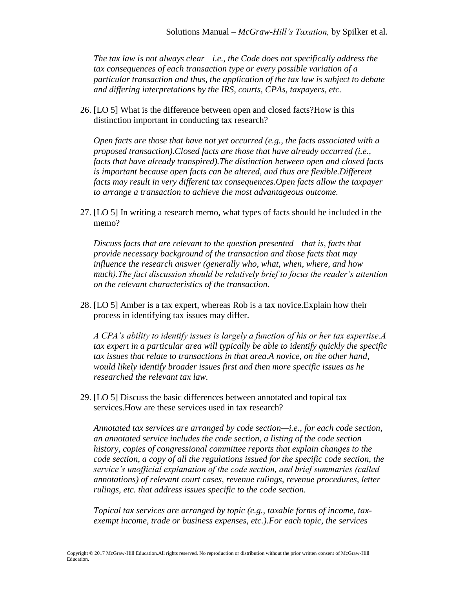*The tax law is not always clear—i.e., the Code does not specifically address the tax consequences of each transaction type or every possible variation of a particular transaction and thus, the application of the tax law is subject to debate and differing interpretations by the IRS, courts, CPAs, taxpayers, etc.*

26. [LO 5] What is the difference between open and closed facts?How is this distinction important in conducting tax research?

*Open facts are those that have not yet occurred (e.g., the facts associated with a proposed transaction).Closed facts are those that have already occurred (i.e., facts that have already transpired).The distinction between open and closed facts is important because open facts can be altered, and thus are flexible.Different facts may result in very different tax consequences.Open facts allow the taxpayer to arrange a transaction to achieve the most advantageous outcome.*

27. [LO 5] In writing a research memo, what types of facts should be included in the memo?

*Discuss facts that are relevant to the question presented—that is, facts that provide necessary background of the transaction and those facts that may influence the research answer (generally who, what, when, where, and how much).The fact discussion should be relatively brief to focus the reader's attention on the relevant characteristics of the transaction.*

28. [LO 5] Amber is a tax expert, whereas Rob is a tax novice.Explain how their process in identifying tax issues may differ.

*A CPA's ability to identify issues is largely a function of his or her tax expertise.A tax expert in a particular area will typically be able to identify quickly the specific tax issues that relate to transactions in that area.A novice, on the other hand, would likely identify broader issues first and then more specific issues as he researched the relevant tax law.*

29. [LO 5] Discuss the basic differences between annotated and topical tax services.How are these services used in tax research?

*Annotated tax services are arranged by code section—i.e., for each code section, an annotated service includes the code section, a listing of the code section history, copies of congressional committee reports that explain changes to the code section, a copy of all the regulations issued for the specific code section, the service's unofficial explanation of the code section, and brief summaries (called annotations) of relevant court cases, revenue rulings, revenue procedures, letter rulings, etc. that address issues specific to the code section.*

*Topical tax services are arranged by topic (e.g., taxable forms of income, taxexempt income, trade or business expenses, etc.).For each topic, the services*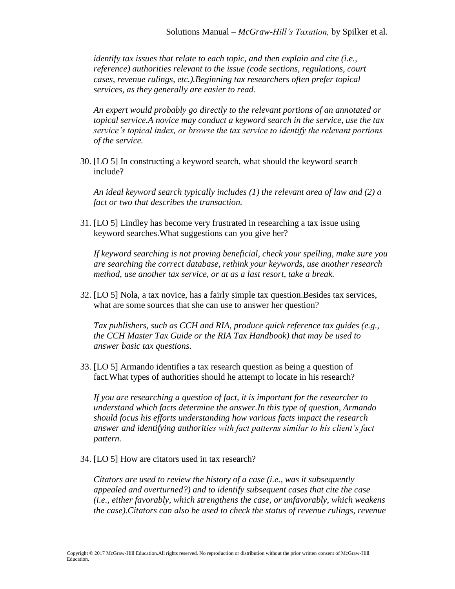*identify tax issues that relate to each topic, and then explain and cite (i.e., reference) authorities relevant to the issue (code sections, regulations, court cases, revenue rulings, etc.).Beginning tax researchers often prefer topical services, as they generally are easier to read.*

*An expert would probably go directly to the relevant portions of an annotated or topical service.A novice may conduct a keyword search in the service, use the tax service's topical index, or browse the tax service to identify the relevant portions of the service.*

30. [LO 5] In constructing a keyword search, what should the keyword search include?

*An ideal keyword search typically includes (1) the relevant area of law and (2) a fact or two that describes the transaction.*

31. [LO 5] Lindley has become very frustrated in researching a tax issue using keyword searches.What suggestions can you give her?

*If keyword searching is not proving beneficial, check your spelling, make sure you are searching the correct database, rethink your keywords, use another research method, use another tax service, or at as a last resort, take a break.*

32. [LO 5] Nola, a tax novice, has a fairly simple tax question.Besides tax services, what are some sources that she can use to answer her question?

*Tax publishers, such as CCH and RIA, produce quick reference tax guides (e.g., the CCH Master Tax Guide or the RIA Tax Handbook) that may be used to answer basic tax questions.*

33. [LO 5] Armando identifies a tax research question as being a question of fact.What types of authorities should he attempt to locate in his research?

*If you are researching a question of fact, it is important for the researcher to understand which facts determine the answer.In this type of question, Armando should focus his efforts understanding how various facts impact the research answer and identifying authorities with fact patterns similar to his client's fact pattern.*

34. [LO 5] How are citators used in tax research?

*Citators are used to review the history of a case (i.e., was it subsequently appealed and overturned?) and to identify subsequent cases that cite the case (i.e., either favorably, which strengthens the case, or unfavorably, which weakens the case).Citators can also be used to check the status of revenue rulings, revenue*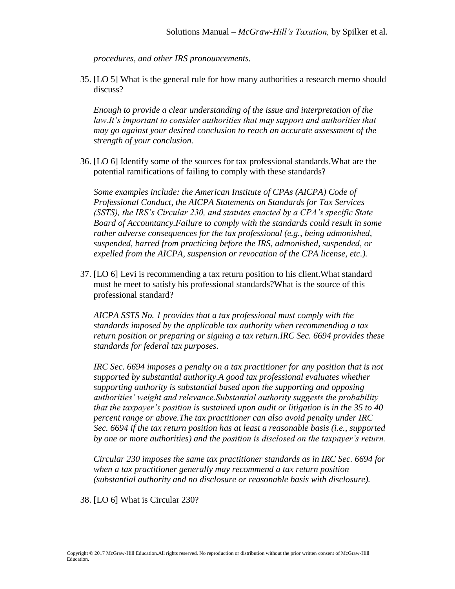*procedures, and other IRS pronouncements.*

35. [LO 5] What is the general rule for how many authorities a research memo should discuss?

*Enough to provide a clear understanding of the issue and interpretation of the*  law.It's important to consider authorities that may support and authorities that *may go against your desired conclusion to reach an accurate assessment of the strength of your conclusion.*

36. [LO 6] Identify some of the sources for tax professional standards.What are the potential ramifications of failing to comply with these standards?

*Some examples include: the American Institute of CPAs (AICPA) Code of Professional Conduct, the AICPA Statements on Standards for Tax Services (SSTS), the IRS's Circular 230, and statutes enacted by a CPA's specific State Board of Accountancy.Failure to comply with the standards could result in some rather adverse consequences for the tax professional (e.g., being admonished, suspended, barred from practicing before the IRS, admonished, suspended, or expelled from the AICPA, suspension or revocation of the CPA license, etc.).*

37. [LO 6] Levi is recommending a tax return position to his client.What standard must he meet to satisfy his professional standards?What is the source of this professional standard?

*AICPA SSTS No. 1 provides that a tax professional must comply with the standards imposed by the applicable tax authority when recommending a tax return position or preparing or signing a tax return.IRC Sec. 6694 provides these standards for federal tax purposes.*

*IRC Sec. 6694 imposes a penalty on a tax practitioner for any position that is not supported by substantial authority.A good tax professional evaluates whether supporting authority is substantial based upon the supporting and opposing authorities' weight and relevance.Substantial authority suggests the probability that the taxpayer's position is sustained upon audit or litigation is in the 35 to 40 percent range or above.The tax practitioner can also avoid penalty under IRC Sec. 6694 if the tax return position has at least a reasonable basis (i.e., supported by one or more authorities) and the position is disclosed on the taxpayer's return.*

*Circular 230 imposes the same tax practitioner standards as in IRC Sec. 6694 for when a tax practitioner generally may recommend a tax return position (substantial authority and no disclosure or reasonable basis with disclosure).*

38. [LO 6] What is Circular 230?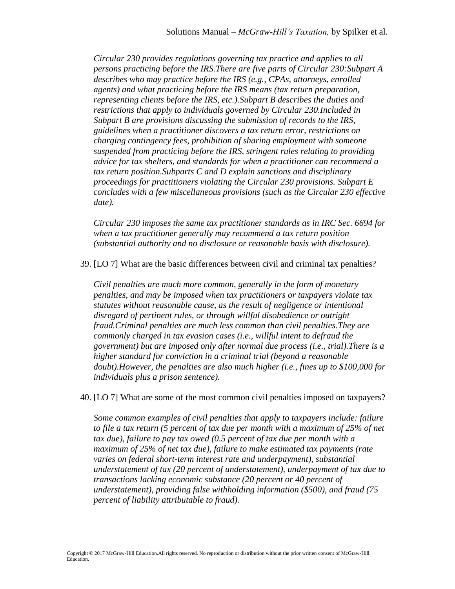*Circular 230 provides regulations governing tax practice and applies to all persons practicing before the IRS.There are five parts of Circular 230:Subpart A describes who may practice before the IRS (e.g., CPAs, attorneys, enrolled agents) and what practicing before the IRS means (tax return preparation, representing clients before the IRS, etc.).Subpart B describes the duties and restrictions that apply to individuals governed by Circular 230.Included in Subpart B are provisions discussing the submission of records to the IRS, guidelines when a practitioner discovers a tax return error, restrictions on charging contingency fees, prohibition of sharing employment with someone suspended from practicing before the IRS, stringent rules relating to providing advice for tax shelters, and standards for when a practitioner can recommend a tax return position.Subparts C and D explain sanctions and disciplinary proceedings for practitioners violating the Circular 230 provisions. Subpart E concludes with a few miscellaneous provisions (such as the Circular 230 effective date).*

*Circular 230 imposes the same tax practitioner standards as in IRC Sec. 6694 for when a tax practitioner generally may recommend a tax return position (substantial authority and no disclosure or reasonable basis with disclosure).*

39. [LO 7] What are the basic differences between civil and criminal tax penalties?

*Civil penalties are much more common, generally in the form of monetary penalties, and may be imposed when tax practitioners or taxpayers violate tax statutes without reasonable cause, as the result of negligence or intentional disregard of pertinent rules, or through willful disobedience or outright fraud.Criminal penalties are much less common than civil penalties.They are commonly charged in tax evasion cases (i.e., willful intent to defraud the government) but are imposed only after normal due process (i.e., trial).There is a higher standard for conviction in a criminal trial (beyond a reasonable doubt).However, the penalties are also much higher (i.e., fines up to \$100,000 for individuals plus a prison sentence).*

40. [LO 7] What are some of the most common civil penalties imposed on taxpayers?

*Some common examples of civil penalties that apply to taxpayers include: failure to file a tax return (5 percent of tax due per month with a maximum of 25% of net tax due), failure to pay tax owed (0.5 percent of tax due per month with a maximum of 25% of net tax due), failure to make estimated tax payments (rate varies on federal short-term interest rate and underpayment), substantial understatement of tax (20 percent of understatement), underpayment of tax due to transactions lacking economic substance (20 percent or 40 percent of understatement), providing false withholding information (\$500), and fraud (75 percent of liability attributable to fraud).*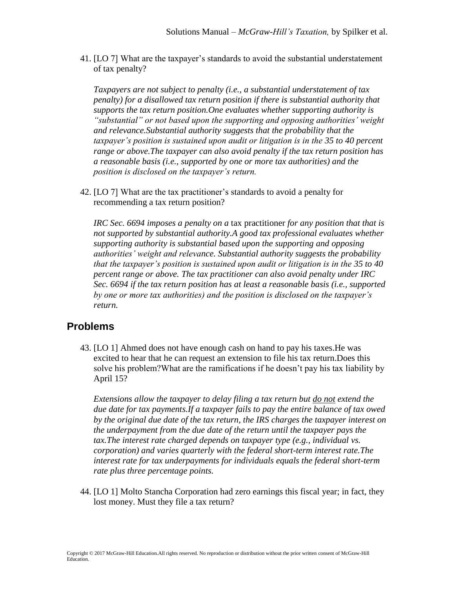41. [LO 7] What are the taxpayer's standards to avoid the substantial understatement of tax penalty?

*Taxpayers are not subject to penalty (i.e., a substantial understatement of tax penalty) for a disallowed tax return position if there is substantial authority that supports the tax return position.One evaluates whether supporting authority is "substantial" or not based upon the supporting and opposing authorities' weight and relevance.Substantial authority suggests that the probability that the taxpayer's position is sustained upon audit or litigation is in the 35 to 40 percent range or above.The taxpayer can also avoid penalty if the tax return position has a reasonable basis (i.e., supported by one or more tax authorities) and the position is disclosed on the taxpayer's return.*

42. [LO 7] What are the tax practitioner's standards to avoid a penalty for recommending a tax return position?

*IRC Sec. 6694 imposes a penalty on a* tax practitioner *for any position that that is not supported by substantial authority.A good tax professional evaluates whether supporting authority is substantial based upon the supporting and opposing authorities' weight and relevance. Substantial authority suggests the probability that the taxpayer's position is sustained upon audit or litigation is in the 35 to 40 percent range or above. The tax practitioner can also avoid penalty under IRC Sec. 6694 if the tax return position has at least a reasonable basis (i.e., supported by one or more tax authorities) and the position is disclosed on the taxpayer's return.* 

## **Problems**

43. [LO 1] Ahmed does not have enough cash on hand to pay his taxes.He was excited to hear that he can request an extension to file his tax return.Does this solve his problem?What are the ramifications if he doesn't pay his tax liability by April 15?

*Extensions allow the taxpayer to delay filing a tax return but do not extend the due date for tax payments.If a taxpayer fails to pay the entire balance of tax owed by the original due date of the tax return, the IRS charges the taxpayer interest on the underpayment from the due date of the return until the taxpayer pays the tax.The interest rate charged depends on taxpayer type (e.g., individual vs. corporation) and varies quarterly with the federal short-term interest rate.The interest rate for tax underpayments for individuals equals the federal short-term rate plus three percentage points.*

44. [LO 1] Molto Stancha Corporation had zero earnings this fiscal year; in fact, they lost money. Must they file a tax return?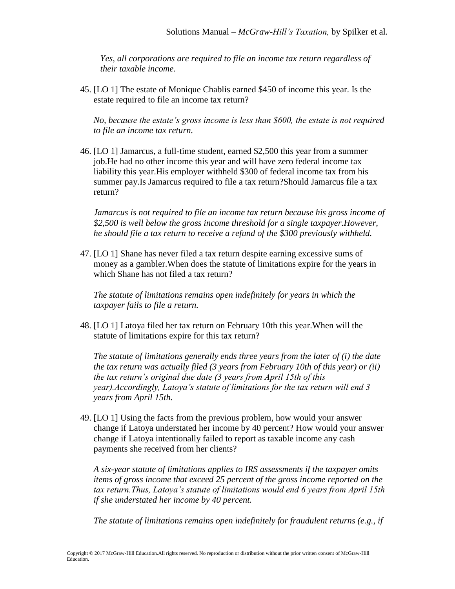*Yes, all corporations are required to file an income tax return regardless of their taxable income.*

45. [LO 1] The estate of Monique Chablis earned \$450 of income this year. Is the estate required to file an income tax return?

*No, because the estate's gross income is less than \$600, the estate is not required to file an income tax return.*

46. [LO 1] Jamarcus, a full-time student, earned \$2,500 this year from a summer job.He had no other income this year and will have zero federal income tax liability this year.His employer withheld \$300 of federal income tax from his summer pay.Is Jamarcus required to file a tax return?Should Jamarcus file a tax return?

*Jamarcus is not required to file an income tax return because his gross income of \$2,500 is well below the gross income threshold for a single taxpayer.However, he should file a tax return to receive a refund of the \$300 previously withheld.*

47. [LO 1] Shane has never filed a tax return despite earning excessive sums of money as a gambler.When does the statute of limitations expire for the years in which Shane has not filed a tax return?

*The statute of limitations remains open indefinitely for years in which the taxpayer fails to file a return.*

48. [LO 1] Latoya filed her tax return on February 10th this year.When will the statute of limitations expire for this tax return?

*The statute of limitations generally ends three years from the later of (i) the date the tax return was actually filed (3 years from February 10th of this year) or (ii) the tax return's original due date (3 years from April 15th of this year).Accordingly, Latoya's statute of limitations for the tax return will end 3 years from April 15th.*

49. [LO 1] Using the facts from the previous problem, how would your answer change if Latoya understated her income by 40 percent? How would your answer change if Latoya intentionally failed to report as taxable income any cash payments she received from her clients?

*A six-year statute of limitations applies to IRS assessments if the taxpayer omits items of gross income that exceed 25 percent of the gross income reported on the tax return.Thus, Latoya's statute of limitations would end 6 years from April 15th if she understated her income by 40 percent.*

*The statute of limitations remains open indefinitely for fraudulent returns (e.g., if*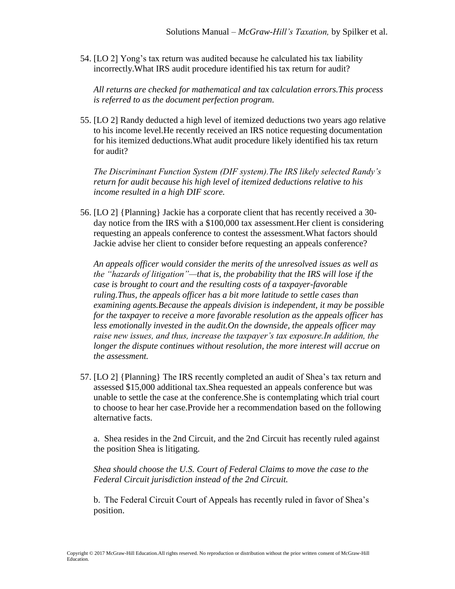54. [LO 2] Yong's tax return was audited because he calculated his tax liability incorrectly.What IRS audit procedure identified his tax return for audit?

*All returns are checked for mathematical and tax calculation errors.This process is referred to as the document perfection program.*

55. [LO 2] Randy deducted a high level of itemized deductions two years ago relative to his income level.He recently received an IRS notice requesting documentation for his itemized deductions.What audit procedure likely identified his tax return for audit?

*The Discriminant Function System (DIF system).The IRS likely selected Randy's return for audit because his high level of itemized deductions relative to his income resulted in a high DIF score.*

56. [LO 2] {Planning} Jackie has a corporate client that has recently received a 30 day notice from the IRS with a \$100,000 tax assessment.Her client is considering requesting an appeals conference to contest the assessment.What factors should Jackie advise her client to consider before requesting an appeals conference?

*An appeals officer would consider the merits of the unresolved issues as well as the "hazards of litigation"—that is, the probability that the IRS will lose if the case is brought to court and the resulting costs of a taxpayer-favorable ruling.Thus, the appeals officer has a bit more latitude to settle cases than examining agents.Because the appeals division is independent, it may be possible for the taxpayer to receive a more favorable resolution as the appeals officer has less emotionally invested in the audit.On the downside, the appeals officer may raise new issues, and thus, increase the taxpayer's tax exposure.In addition, the longer the dispute continues without resolution, the more interest will accrue on the assessment.*

57. [LO 2] {Planning} The IRS recently completed an audit of Shea's tax return and assessed \$15,000 additional tax.Shea requested an appeals conference but was unable to settle the case at the conference.She is contemplating which trial court to choose to hear her case.Provide her a recommendation based on the following alternative facts.

a. Shea resides in the 2nd Circuit, and the 2nd Circuit has recently ruled against the position Shea is litigating.

*Shea should choose the U.S. Court of Federal Claims to move the case to the Federal Circuit jurisdiction instead of the 2nd Circuit.*

b. The Federal Circuit Court of Appeals has recently ruled in favor of Shea's position.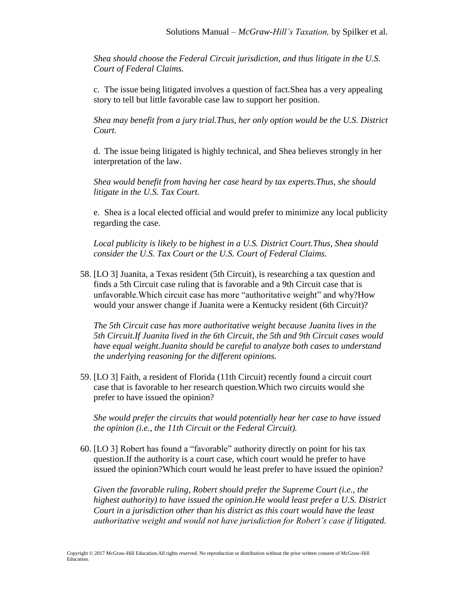*Shea should choose the Federal Circuit jurisdiction, and thus litigate in the U.S. Court of Federal Claims.*

c. The issue being litigated involves a question of fact.Shea has a very appealing story to tell but little favorable case law to support her position.

*Shea may benefit from a jury trial.Thus, her only option would be the U.S. District Court.*

d. The issue being litigated is highly technical, and Shea believes strongly in her interpretation of the law.

*Shea would benefit from having her case heard by tax experts.Thus, she should litigate in the U.S. Tax Court.*

e. Shea is a local elected official and would prefer to minimize any local publicity regarding the case.

*Local publicity is likely to be highest in a U.S. District Court.Thus, Shea should consider the U.S. Tax Court or the U.S. Court of Federal Claims.*

58. [LO 3] Juanita, a Texas resident (5th Circuit), is researching a tax question and finds a 5th Circuit case ruling that is favorable and a 9th Circuit case that is unfavorable.Which circuit case has more "authoritative weight" and why?How would your answer change if Juanita were a Kentucky resident (6th Circuit)?

*The 5th Circuit case has more authoritative weight because Juanita lives in the 5th Circuit.If Juanita lived in the 6th Circuit, the 5th and 9th Circuit cases would have equal weight.Juanita should be careful to analyze both cases to understand the underlying reasoning for the different opinions.*

59. [LO 3] Faith, a resident of Florida (11th Circuit) recently found a circuit court case that is favorable to her research question.Which two circuits would she prefer to have issued the opinion?

*She would prefer the circuits that would potentially hear her case to have issued the opinion (i.e., the 11th Circuit or the Federal Circuit).*

60. [LO 3] Robert has found a "favorable" authority directly on point for his tax question.If the authority is a court case, which court would he prefer to have issued the opinion?Which court would he least prefer to have issued the opinion?

*Given the favorable ruling, Robert should prefer the Supreme Court (i.e., the highest authority) to have issued the opinion.He would least prefer a U.S. District Court in a jurisdiction other than his district as this court would have the least authoritative weight and would not have jurisdiction for Robert's case if litigated.*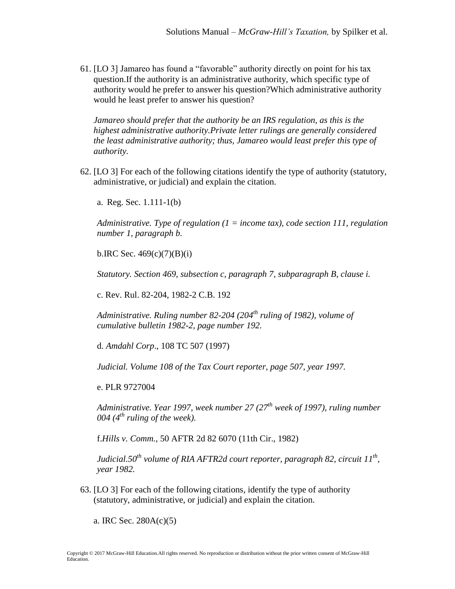61. [LO 3] Jamareo has found a "favorable" authority directly on point for his tax question.If the authority is an administrative authority, which specific type of authority would he prefer to answer his question?Which administrative authority would he least prefer to answer his question?

*Jamareo should prefer that the authority be an IRS regulation, as this is the highest administrative authority.Private letter rulings are generally considered the least administrative authority; thus, Jamareo would least prefer this type of authority.*

62. [LO 3] For each of the following citations identify the type of authority (statutory, administrative, or judicial) and explain the citation.

a. Reg. Sec. 1.111-1(b)

*Administrative. Type of regulation (1 = income tax), code section 111, regulation number 1, paragraph b.*

b.IRC Sec.  $469(c)(7)(B)(i)$ 

*Statutory. Section 469, subsection c, paragraph 7, subparagraph B, clause i.*

c. Rev. Rul. 82-204, 1982-2 C.B. 192

*Administrative. Ruling number 82-204 (204th ruling of 1982), volume of cumulative bulletin 1982-2, page number 192.* 

d. *Amdahl Corp*., 108 TC 507 (1997)

*Judicial. Volume 108 of the Tax Court reporter, page 507, year 1997.*

e. PLR 9727004

*Administrative. Year 1997, week number 27 (27th week of 1997), ruling number 004 (4th ruling of the week).*

f.*Hills v. Comm.*, 50 AFTR 2d 82 6070 (11th Cir., 1982)

*Judicial.50th volume of RIA AFTR2d court reporter, paragraph 82, circuit 11th , year 1982.*

63. [LO 3] For each of the following citations, identify the type of authority (statutory, administrative, or judicial) and explain the citation.

a. IRC Sec. 280A(c)(5)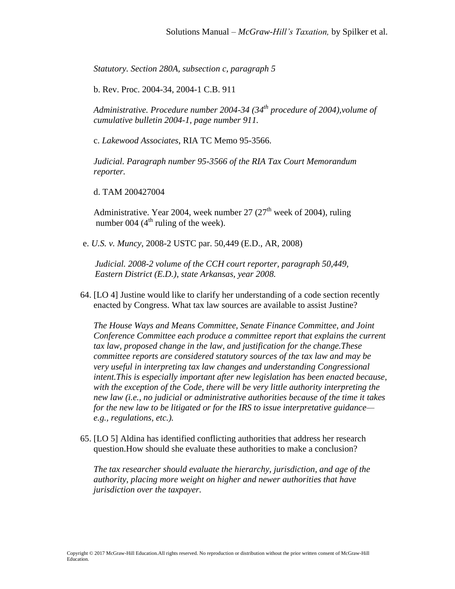*Statutory. Section 280A, subsection c, paragraph 5*

b. Rev. Proc. 2004-34, 2004-1 C.B. 911

*Administrative. Procedure number 2004-34 (34th procedure of 2004),volume of cumulative bulletin 2004-1, page number 911.*

c. *Lakewood Associates*, RIA TC Memo 95-3566.

*Judicial. Paragraph number 95-3566 of the RIA Tax Court Memorandum reporter.*

d. TAM 200427004

Administrative. Year 2004, week number 27  $(27<sup>th</sup>$  week of 2004), ruling number 004  $(4<sup>th</sup>$  ruling of the week).

e. *U.S. v. Muncy*, 2008-2 USTC par. 50,449 (E.D., AR, 2008)

 *Judicial. 2008-2 volume of the CCH court reporter, paragraph 50,449, Eastern District (E.D.), state Arkansas, year 2008.*

64. [LO 4] Justine would like to clarify her understanding of a code section recently enacted by Congress. What tax law sources are available to assist Justine?

*The House Ways and Means Committee, Senate Finance Committee, and Joint Conference Committee each produce a committee report that explains the current tax law, proposed change in the law, and justification for the change.These committee reports are considered statutory sources of the tax law and may be very useful in interpreting tax law changes and understanding Congressional intent.This is especially important after new legislation has been enacted because, with the exception of the Code, there will be very little authority interpreting the new law (i.e., no judicial or administrative authorities because of the time it takes for the new law to be litigated or for the IRS to issue interpretative guidance e.g., regulations, etc.).*

65. [LO 5] Aldina has identified conflicting authorities that address her research question.How should she evaluate these authorities to make a conclusion?

*The tax researcher should evaluate the hierarchy, jurisdiction, and age of the authority, placing more weight on higher and newer authorities that have jurisdiction over the taxpayer.*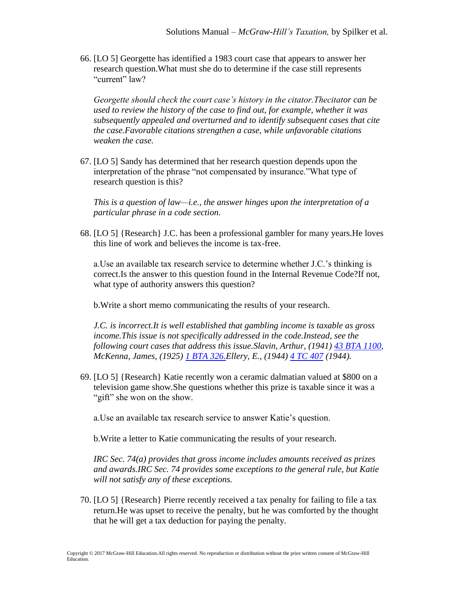66. [LO 5] Georgette has identified a 1983 court case that appears to answer her research question.What must she do to determine if the case still represents "current" law?

*Georgette should check the court case's history in the citator.Thecitator can be used to review the history of the case to find out, for example, whether it was subsequently appealed and overturned and to identify subsequent cases that cite the case.Favorable citations strengthen a case, while unfavorable citations weaken the case.*

67. [LO 5] Sandy has determined that her research question depends upon the interpretation of the phrase "not compensated by insurance."What type of research question is this?

*This is a question of law—i.e., the answer hinges upon the interpretation of a particular phrase in a code section.*

68. [LO 5] {Research} J.C. has been a professional gambler for many years.He loves this line of work and believes the income is tax-free.

a.Use an available tax research service to determine whether J.C.'s thinking is correct.Is the answer to this question found in the Internal Revenue Code?If not, what type of authority answers this question?

b.Write a short memo communicating the results of your research.

*J.C. is incorrect.It is well established that gambling income is taxable as gross income.This issue is not specifically addressed in the code.Instead, see the following court cases that address this issue.Slavin, Arthur, (1941) [43 BTA 1100,](http://checkpoint.riag.com/getDoc?DocID=T0BTA:14028.1&pinpnt=) McKenna, James, (1925) [1 BTA 326.E](http://checkpoint.riag.com/getDoc?DocID=T0BTA:140.1&pinpnt=)llery, E., (1944) [4 TC 407](http://checkpoint.riag.com/getDoc?DocID=T0TCR42:2766.2&pinpnt=) (1944).*

69. [LO 5] {Research} Katie recently won a ceramic dalmatian valued at \$800 on a television game show.She questions whether this prize is taxable since it was a "gift" she won on the show.

a.Use an available tax research service to answer Katie's question.

b.Write a letter to Katie communicating the results of your research.

*IRC Sec. 74(a) provides that gross income includes amounts received as prizes and awards.IRC Sec. 74 provides some exceptions to the general rule, but Katie will not satisfy any of these exceptions.*

70. [LO 5] {Research} Pierre recently received a tax penalty for failing to file a tax return.He was upset to receive the penalty, but he was comforted by the thought that he will get a tax deduction for paying the penalty.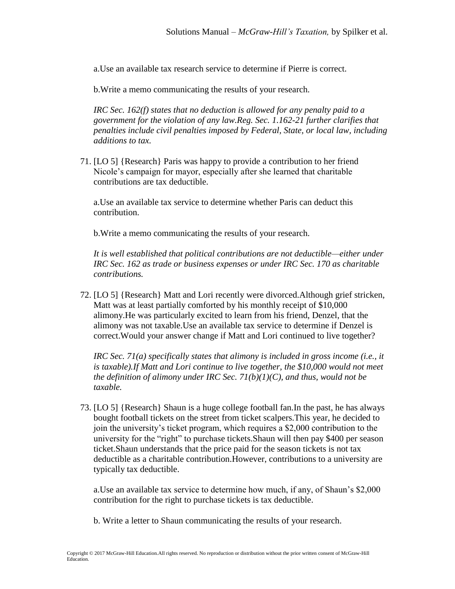a.Use an available tax research service to determine if Pierre is correct.

b.Write a memo communicating the results of your research.

*IRC Sec. 162(f) states that no deduction is allowed for any penalty paid to a government for the violation of any law.Reg. Sec. 1.162-21 further clarifies that penalties include civil penalties imposed by Federal, State, or local law, including additions to tax.*

71. [LO 5] {Research} Paris was happy to provide a contribution to her friend Nicole's campaign for mayor, especially after she learned that charitable contributions are tax deductible.

a.Use an available tax service to determine whether Paris can deduct this contribution.

b.Write a memo communicating the results of your research.

*It is well established that political contributions are not deductible—either under IRC Sec. 162 as trade or business expenses or under IRC Sec. 170 as charitable contributions.*

72. [LO 5] {Research} Matt and Lori recently were divorced.Although grief stricken, Matt was at least partially comforted by his monthly receipt of \$10,000 alimony.He was particularly excited to learn from his friend, Denzel, that the alimony was not taxable.Use an available tax service to determine if Denzel is correct.Would your answer change if Matt and Lori continued to live together?

*IRC Sec. 71(a) specifically states that alimony is included in gross income (i.e., it is taxable).If Matt and Lori continue to live together, the \$10,000 would not meet the definition of alimony under IRC Sec. 71(b)(1)(C), and thus, would not be taxable.*

73. [LO 5] {Research} Shaun is a huge college football fan.In the past, he has always bought football tickets on the street from ticket scalpers.This year, he decided to join the university's ticket program, which requires a \$2,000 contribution to the university for the "right" to purchase tickets.Shaun will then pay \$400 per season ticket.Shaun understands that the price paid for the season tickets is not tax deductible as a charitable contribution.However, contributions to a university are typically tax deductible.

a.Use an available tax service to determine how much, if any, of Shaun's \$2,000 contribution for the right to purchase tickets is tax deductible.

b. Write a letter to Shaun communicating the results of your research.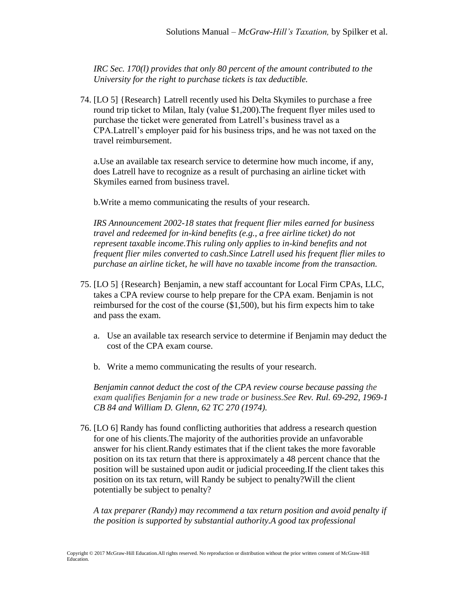*IRC Sec. 170(l) provides that only 80 percent of the amount contributed to the University for the right to purchase tickets is tax deductible.*

74. [LO 5] {Research} Latrell recently used his Delta Skymiles to purchase a free round trip ticket to Milan, Italy (value \$1,200).The frequent flyer miles used to purchase the ticket were generated from Latrell's business travel as a CPA.Latrell's employer paid for his business trips, and he was not taxed on the travel reimbursement.

a.Use an available tax research service to determine how much income, if any, does Latrell have to recognize as a result of purchasing an airline ticket with Skymiles earned from business travel.

b.Write a memo communicating the results of your research.

*IRS Announcement 2002-18 states that frequent flier miles earned for business travel and redeemed for in-kind benefits (e.g., a free airline ticket) do not represent taxable income.This ruling only applies to in-kind benefits and not frequent flier miles converted to cash.Since Latrell used his frequent flier miles to purchase an airline ticket, he will have no taxable income from the transaction.*

- 75. [LO 5] {Research} Benjamin, a new staff accountant for Local Firm CPAs, LLC, takes a CPA review course to help prepare for the CPA exam. Benjamin is not reimbursed for the cost of the course (\$1,500), but his firm expects him to take and pass the exam.
	- a. Use an available tax research service to determine if Benjamin may deduct the cost of the CPA exam course.
	- b. Write a memo communicating the results of your research.

*Benjamin cannot deduct the cost of the CPA review course because passing the exam qualifies Benjamin for a new trade or business.See Rev. Rul. 69-292, 1969-1 CB 84 and William D. Glenn, 62 TC 270 (1974).*

76. [LO 6] Randy has found conflicting authorities that address a research question for one of his clients.The majority of the authorities provide an unfavorable answer for his client.Randy estimates that if the client takes the more favorable position on its tax return that there is approximately a 48 percent chance that the position will be sustained upon audit or judicial proceeding.If the client takes this position on its tax return, will Randy be subject to penalty?Will the client potentially be subject to penalty?

*A tax preparer (Randy) may recommend a tax return position and avoid penalty if the position is supported by substantial authority.A good tax professional*